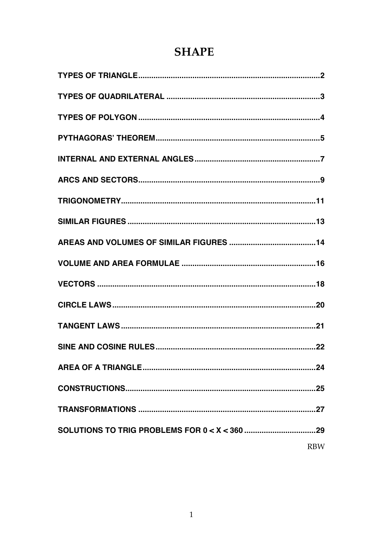# **SHAPE**

| <b>RBW</b> |
|------------|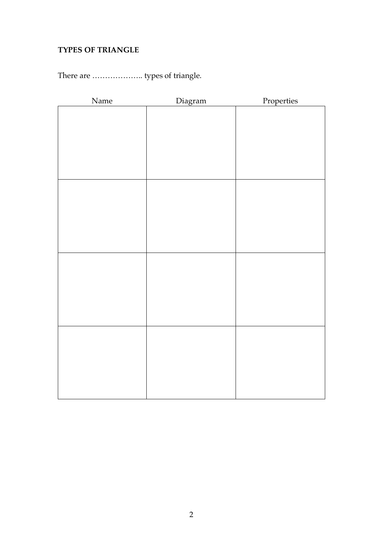## **TYPES OF TRIANGLE**

# There are ……………….. types of triangle.

| Name | Diagram | Properties |
|------|---------|------------|
|      |         |            |
|      |         |            |
|      |         |            |
|      |         |            |
|      |         |            |
|      |         |            |
|      |         |            |
|      |         |            |
|      |         |            |
|      |         |            |
|      |         |            |
|      |         |            |
|      |         |            |
|      |         |            |
|      |         |            |
|      |         |            |
|      |         |            |
|      |         |            |
|      |         |            |
|      |         |            |
|      |         |            |
|      |         |            |
|      |         |            |
|      |         |            |
|      |         |            |
|      |         |            |
|      |         |            |
|      |         |            |
|      |         |            |
|      |         |            |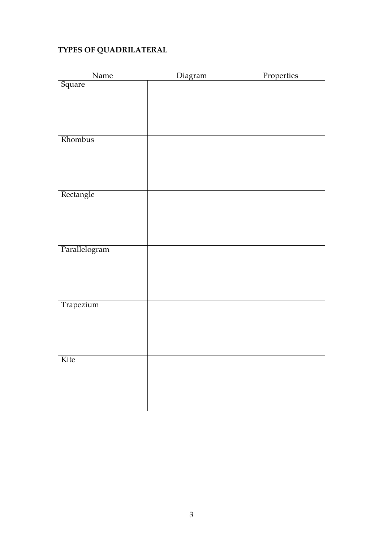## **TYPES OF QUADRILATERAL**

| Name          | Diagram | Properties |
|---------------|---------|------------|
| Square        |         |            |
|               |         |            |
|               |         |            |
|               |         |            |
|               |         |            |
| Rhombus       |         |            |
|               |         |            |
|               |         |            |
|               |         |            |
|               |         |            |
| Rectangle     |         |            |
|               |         |            |
|               |         |            |
|               |         |            |
|               |         |            |
| Parallelogram |         |            |
|               |         |            |
|               |         |            |
|               |         |            |
|               |         |            |
| Trapezium     |         |            |
|               |         |            |
|               |         |            |
|               |         |            |
|               |         |            |
| Kite          |         |            |
|               |         |            |
|               |         |            |
|               |         |            |
|               |         |            |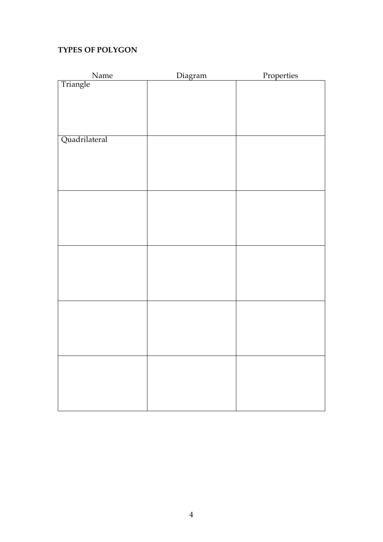### **TYPES OF POLYGON**

| $\mathbf{Name}$ | Diagram | Properties |
|-----------------|---------|------------|
| Triangle        |         |            |
|                 |         |            |
|                 |         |            |
|                 |         |            |
|                 |         |            |
| Quadrilateral   |         |            |
|                 |         |            |
|                 |         |            |
|                 |         |            |
|                 |         |            |
|                 |         |            |
|                 |         |            |
|                 |         |            |
|                 |         |            |
|                 |         |            |
|                 |         |            |
|                 |         |            |
|                 |         |            |
|                 |         |            |
|                 |         |            |
|                 |         |            |
|                 |         |            |
|                 |         |            |
|                 |         |            |
|                 |         |            |
|                 |         |            |
|                 |         |            |
|                 |         |            |
|                 |         |            |
|                 |         |            |
|                 |         |            |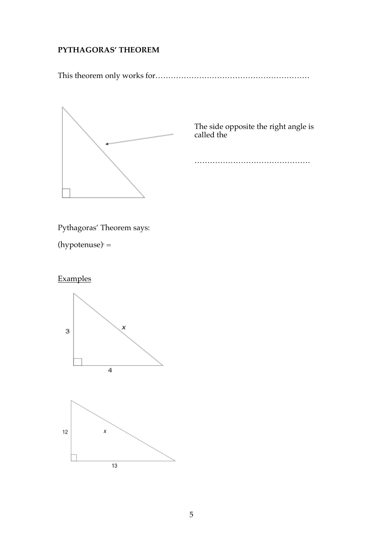## **PYTHAGORAS' THEOREM**

This theorem only works for……………………………………………………



The side opposite the right angle is called the

………………………………………

Pythagoras' Theorem says:

 $(hypotenuse) =$ 

## **Examples**

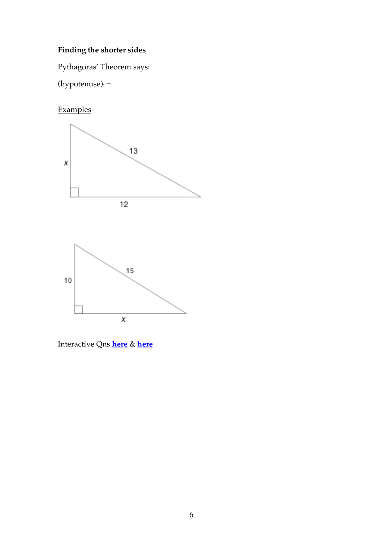# **Finding the shorter sides**

Pythagoras' Theorem says:

 $(hypotenuse) =$ 

# Examples



Interactive Qns **here** & **here**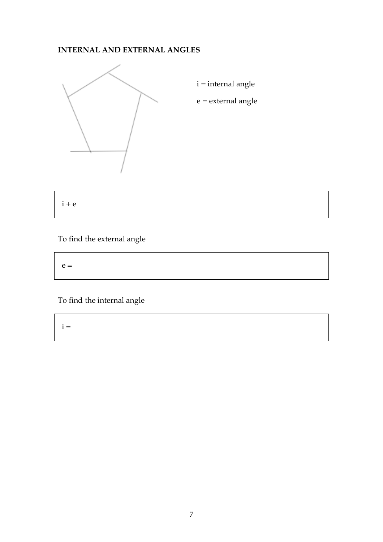### **INTERNAL AND EXTERNAL ANGLES**



 $\mathbf{i} = \mathbf{i}$ nternal angle

 $\mathbf{e} = \mathbf{external}$ angle

 $i + e$ 

# To find the external angle

| $e =$ |  |  |  |
|-------|--|--|--|
|       |  |  |  |

To find the internal angle

 $i =$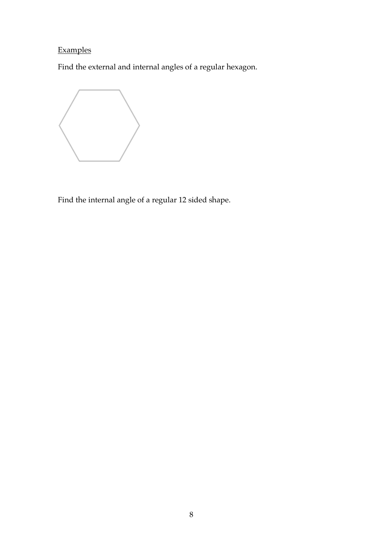# Examples

Find the external and internal angles of a regular hexagon.



Find the internal angle of a regular 12 sided shape.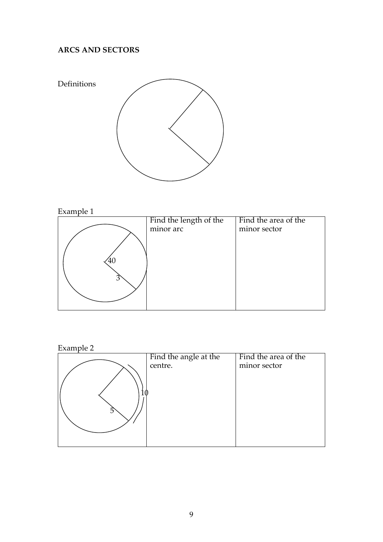## **ARCS AND SECTORS**



# Example 1



### Example 2

|            | Find the angle at the | Find the area of the |
|------------|-----------------------|----------------------|
|            | centre.               | minor sector         |
|            |                       |                      |
|            |                       |                      |
|            |                       |                      |
|            |                       |                      |
| $\sqrt{2}$ |                       |                      |
|            |                       |                      |
|            |                       |                      |
|            |                       |                      |
|            |                       |                      |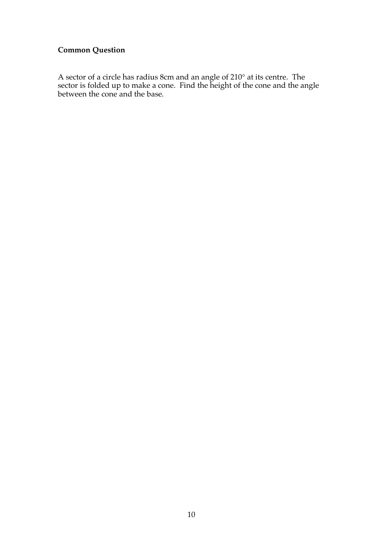### **Common Question**

A sector of a circle has radius 8cm and an angle of 210° at its centre. The sector is folded up to make a cone. Find the height of the cone and the angle between the cone and the base.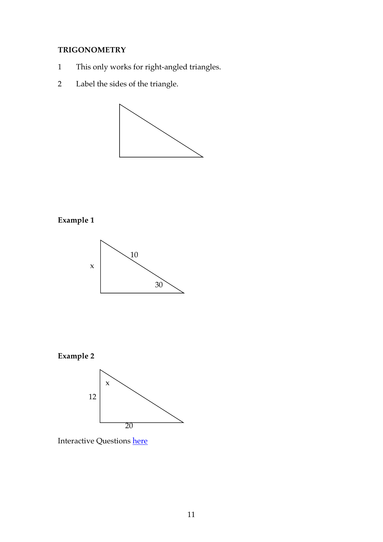## **TRIGONOMETRY**

- 1 This only works for right-angled triangles.
- 2 Label the sides of the triangle.



## **Example 1**







Interactive Questions here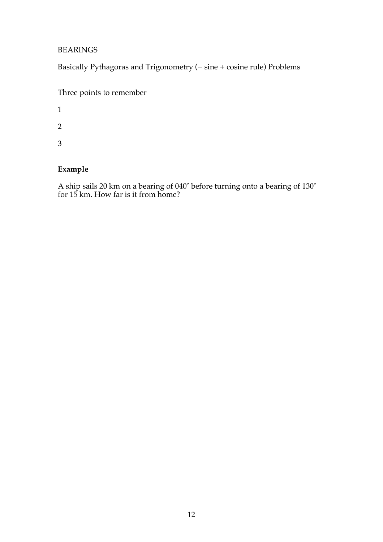#### BEARINGS

Basically Pythagoras and Trigonometry (+ sine + cosine rule) Problems

|  | Three points to remember |  |
|--|--------------------------|--|
|  |                          |  |

1

2

3

### **Example**

A ship sails 20 km on a bearing of 040˚ before turning onto a bearing of 130˚ for 15 km. How far is it from home?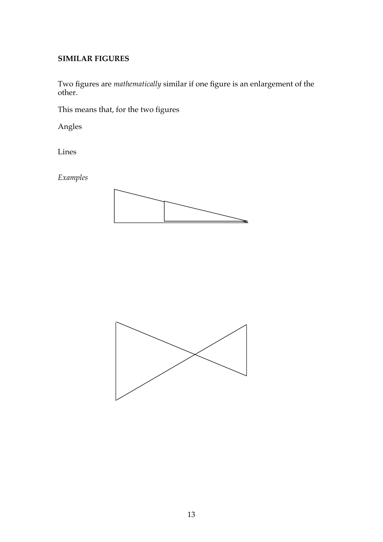#### **SIMILAR FIGURES**

Two figures are *mathematically* similar if one figure is an enlargement of the other.

This means that, for the two figures

Angles

Lines

*Examples*



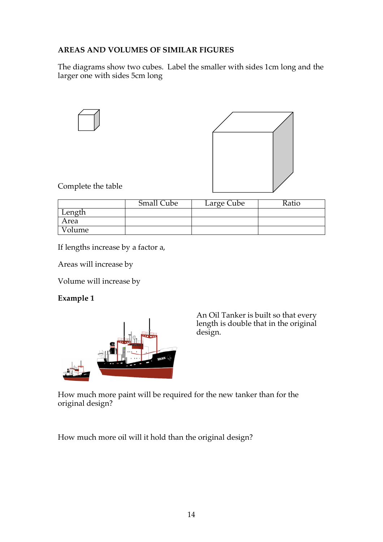### **AREAS AND VOLUMES OF SIMILAR FIGURES**

The diagrams show two cubes. Label the smaller with sides 1cm long and the larger one with sides 5cm long



|        | <b>Small Cube</b> | Large Cube | Ratio |
|--------|-------------------|------------|-------|
| Length |                   |            |       |
| Area   |                   |            |       |
| Volume |                   |            |       |

If lengths increase by a factor a,

Areas will increase by

Volume will increase by

#### **Example 1**



An Oil Tanker is built so that every length is double that in the original design.

How much more paint will be required for the new tanker than for the original design?

How much more oil will it hold than the original design?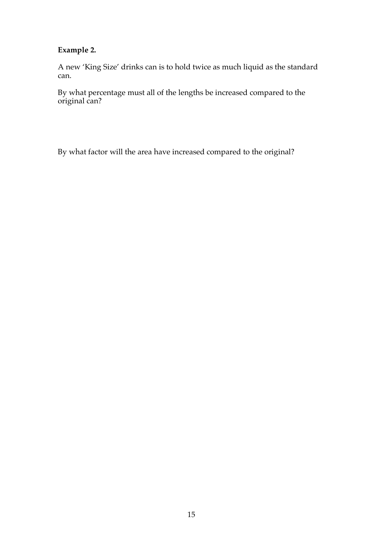### **Example 2.**

A new 'King Size' drinks can is to hold twice as much liquid as the standard can.

By what percentage must all of the lengths be increased compared to the original can?

By what factor will the area have increased compared to the original?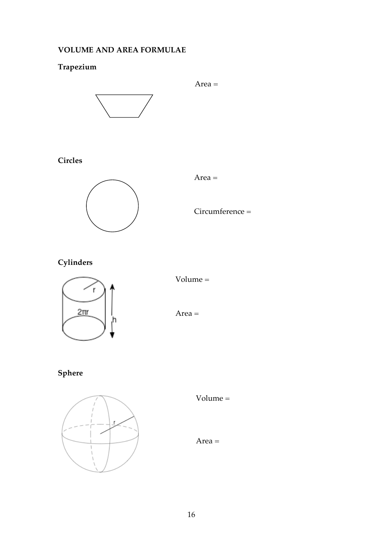### **VOLUME AND AREA FORMULAE**

## **Trapezium**



### **Circles**



Area =

Circumference =

# **Cylinders**



Volume =

Area =

# **Sphere**



Volume =

Area =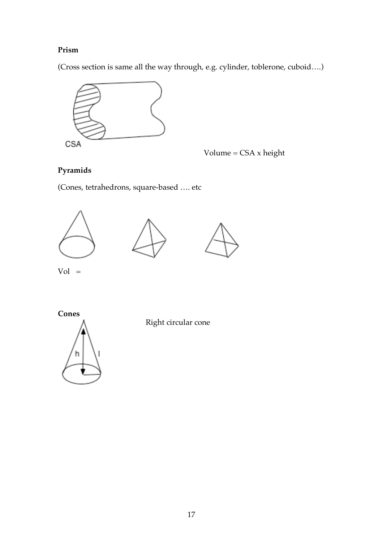### **Prism**

(Cross section is same all the way through, e.g. cylinder, toblerone, cuboid….)



Volume =  $CSA$  x height

## **Pyramids**

(Cones, tetrahedrons, square-based …. etc







 $Vol =$ 

**Cones**



Right circular cone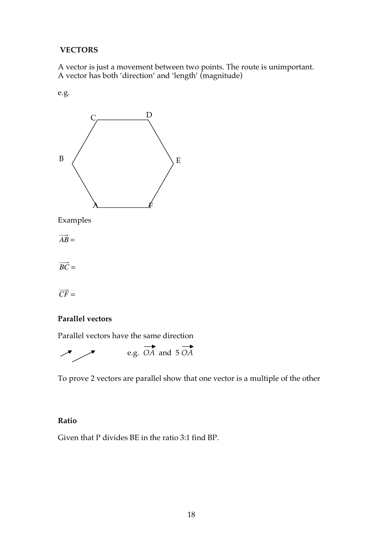#### **VECTORS**

A vector is just a movement between two points. The route is unimportant. A vector has both 'direction' and 'length' (magnitude)

e.g.



Examples

*AB* !!! =

*BC*  $\Rightarrow$ =

*CF*  $\frac{1}{1}$ =

#### **Parallel vectors**

Parallel vectors have the same direction



To prove 2 vectors are parallel show that one vector is a multiple of the other

#### **Ratio**

Given that P divides BE in the ratio 3:1 find BP.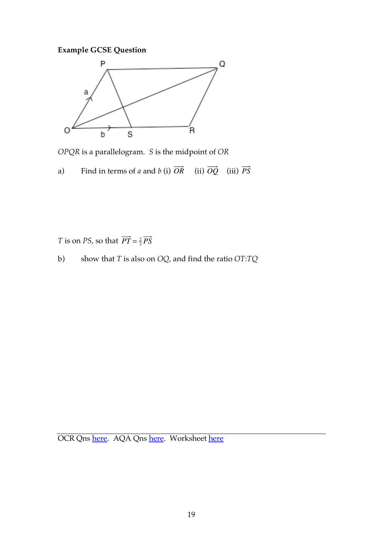## **Example GCSE Question**



*OPQR* is a parallelogram. *S* is the midpoint of *OR*

a) Find in terms of *a* and *b* (i)  $OR$  (ii)  $OQ$  (iii) *OQ*  $(iii)$   $\overrightarrow{PS}$ 

*T* is on *PS*, so that  $PT = \frac{2}{3} PS$ 

b) show that *T* is also on *OQ*, and find the ratio *OT*:*TQ*

OCR Qns here. AQA Qns here. Worksheet here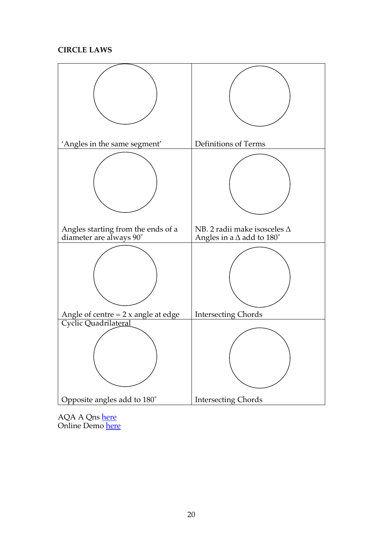#### **CIRCLE LAWS**



AQA A Qns <u>here</u> Online Demo <u>here</u>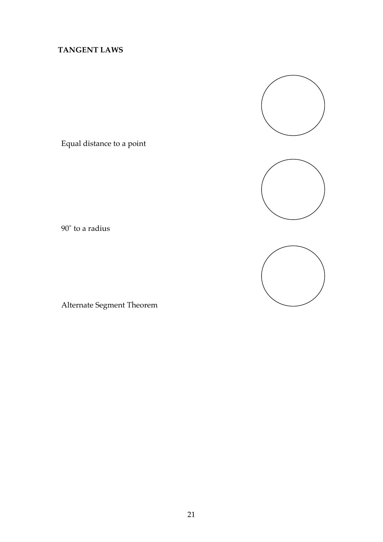## **TANGENT LAWS**

Equal distance to a point





Alternate Segment Theorem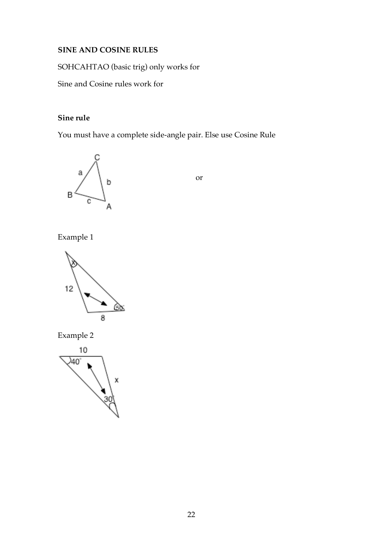#### **SINE AND COSINE RULES**

SOHCAHTAO (basic trig) only works for

Sine and Cosine rules work for

### **Sine rule**

You must have a complete side-angle pair. Else use Cosine Rule



or

Example 1



Example 2

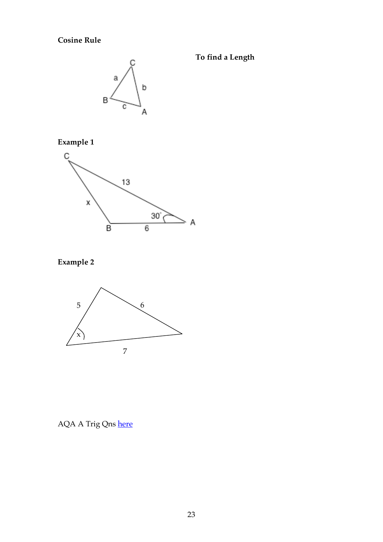## **Cosine Rule**



**To find a Length**

**Example 1**



# **Example 2**



AQA A Trig Qns here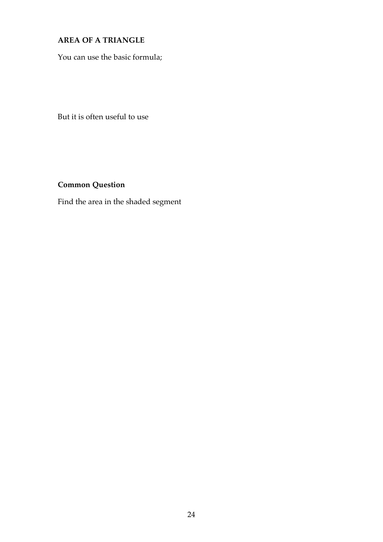## **AREA OF A TRIANGLE**

You can use the basic formula;

But it is often useful to use

## **Common Question**

Find the area in the shaded segment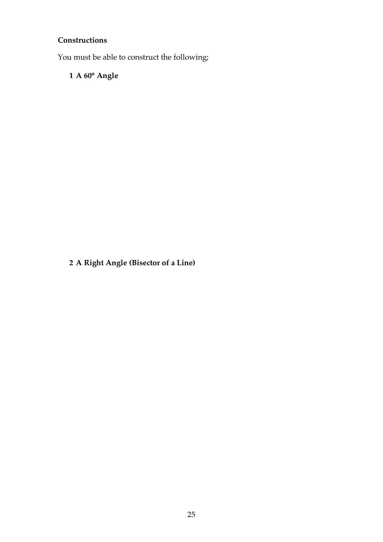## **Constructions**

You must be able to construct the following;

**1 A 60**° **Angle**

**2 A Right Angle (Bisector of a Line)**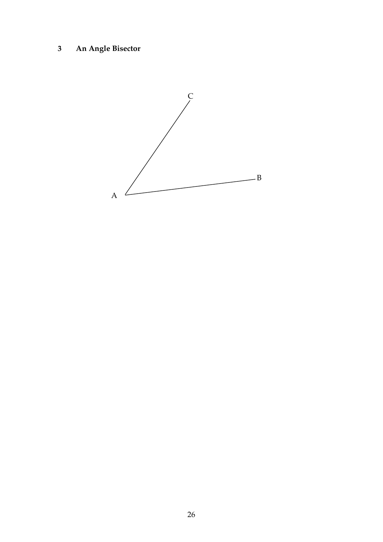# **3 An Angle Bisector**

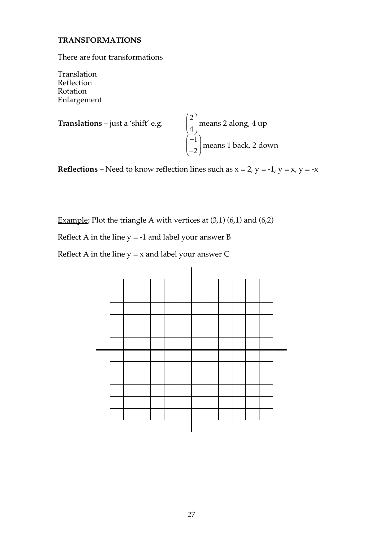#### **TRANSFORMATIONS**

There are four transformations

Translation Reflection Rotation Enlargement

**Translations** – just a 'shift' e.g. 
$$
\begin{pmatrix} 2 \\ 4 \\ -2 \end{pmatrix}
$$
 means 2 along, 4 up  
means 1 back, 2 down

**Reflections** – Need to know reflection lines such as  $x = 2$ ,  $y = -1$ ,  $y = x$ ,  $y = -x$ 

Example; Plot the triangle A with vertices at  $(3,1)$   $(6,1)$  and  $(6,2)$ 

Reflect A in the line  $y = -1$  and label your answer B

Reflect A in the line  $y = x$  and label your answer C

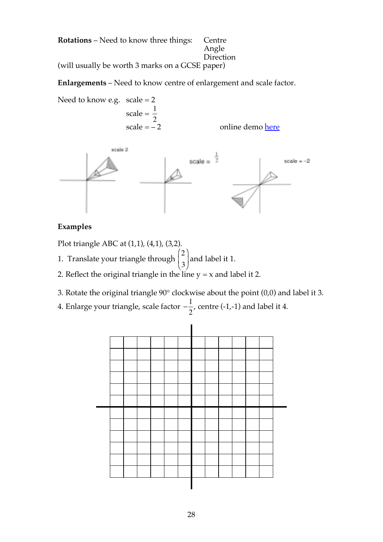**Rotations** – Need to know three things: Centre Angle **Direction** (will usually be worth 3 marks on a GCSE paper)

**Enlargements** – Need to know centre of enlargement and scale factor.

Need to know e.g.  $scale = 2$  $scale = \frac{1}{2}$ online demo here 2



### **Examples**

Plot triangle ABC at (1,1), (4,1), (3,2).

- 1. Translate your triangle through  $\begin{bmatrix} 0 \\ 0 \end{bmatrix}$  and label it 1. 2 3  $\big($ ⎝  $\mathsf I$  $\lambda$ ⎠ ⎟
- 2. Reflect the original triangle in the line  $y = x$  and label it 2.
- 3. Rotate the original triangle 90° clockwise about the point (0,0) and label it 3.
- 4. Enlarge your triangle, scale factor  $-\frac{1}{2}$ , centre (-1,-1) and label it 4. −<br>cale factor  $-\frac{1}{2}$

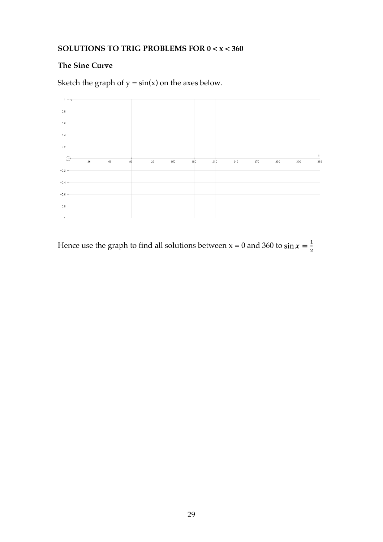## **SOLUTIONS TO TRIG PROBLEMS FOR 0 < x < 360**

### **The Sine Curve**

Sketch the graph of  $y = sin(x)$  on the axes below.



Hence use the graph to find all solutions between  $x = 0$  and 360 to  $\sin x = \frac{1}{2}$